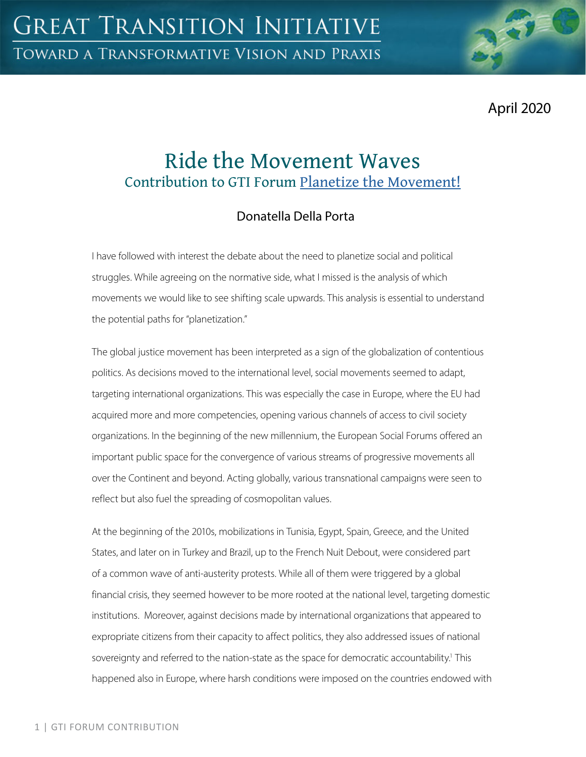April 2020

# Ride the Movement Waves Contribution to GTI Forum [Planetize the Movement!](https://greattransition.org/gti-forum/planetize-the-movement)

## Donatella Della Porta

I have followed with interest the debate about the need to planetize social and political struggles. While agreeing on the normative side, what I missed is the analysis of which movements we would like to see shifting scale upwards. This analysis is essential to understand the potential paths for "planetization."

The global justice movement has been interpreted as a sign of the globalization of contentious politics. As decisions moved to the international level, social movements seemed to adapt, targeting international organizations. This was especially the case in Europe, where the EU had acquired more and more competencies, opening various channels of access to civil society organizations. In the beginning of the new millennium, the European Social Forums offered an important public space for the convergence of various streams of progressive movements all over the Continent and beyond. Acting globally, various transnational campaigns were seen to reflect but also fuel the spreading of cosmopolitan values.

At the beginning of the 2010s, mobilizations in Tunisia, Egypt, Spain, Greece, and the United States, and later on in Turkey and Brazil, up to the French Nuit Debout, were considered part of a common wave of anti-austerity protests. While all of them were triggered by a global financial crisis, they seemed however to be more rooted at the national level, targeting domestic institutions. Moreover, against decisions made by international organizations that appeared to expropriate citizens from their capacity to affect politics, they also addressed issues of national sovereignty and referred to the nation-state as the space for democratic accountability.<sup>1</sup> This happened also in Europe, where harsh conditions were imposed on the countries endowed with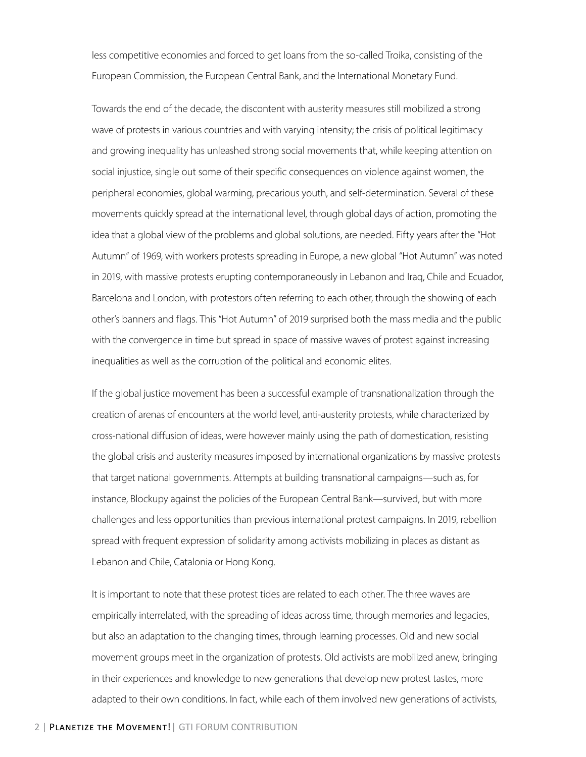less competitive economies and forced to get loans from the so-called Troika, consisting of the European Commission, the European Central Bank, and the International Monetary Fund.

Towards the end of the decade, the discontent with austerity measures still mobilized a strong wave of protests in various countries and with varying intensity; the crisis of political legitimacy and growing inequality has unleashed strong social movements that, while keeping attention on social injustice, single out some of their specific consequences on violence against women, the peripheral economies, global warming, precarious youth, and self-determination. Several of these movements quickly spread at the international level, through global days of action, promoting the idea that a global view of the problems and global solutions, are needed. Fifty years after the "Hot Autumn" of 1969, with workers protests spreading in Europe, a new global "Hot Autumn" was noted in 2019, with massive protests erupting contemporaneously in Lebanon and Iraq, Chile and Ecuador, Barcelona and London, with protestors often referring to each other, through the showing of each other's banners and flags. This "Hot Autumn" of 2019 surprised both the mass media and the public with the convergence in time but spread in space of massive waves of protest against increasing inequalities as well as the corruption of the political and economic elites.

If the global justice movement has been a successful example of transnationalization through the creation of arenas of encounters at the world level, anti-austerity protests, while characterized by cross-national diffusion of ideas, were however mainly using the path of domestication, resisting the global crisis and austerity measures imposed by international organizations by massive protests that target national governments. Attempts at building transnational campaigns—such as, for instance, Blockupy against the policies of the European Central Bank—survived, but with more challenges and less opportunities than previous international protest campaigns. In 2019, rebellion spread with frequent expression of solidarity among activists mobilizing in places as distant as Lebanon and Chile, Catalonia or Hong Kong.

It is important to note that these protest tides are related to each other. The three waves are empirically interrelated, with the spreading of ideas across time, through memories and legacies, but also an adaptation to the changing times, through learning processes. Old and new social movement groups meet in the organization of protests. Old activists are mobilized anew, bringing in their experiences and knowledge to new generations that develop new protest tastes, more adapted to their own conditions. In fact, while each of them involved new generations of activists,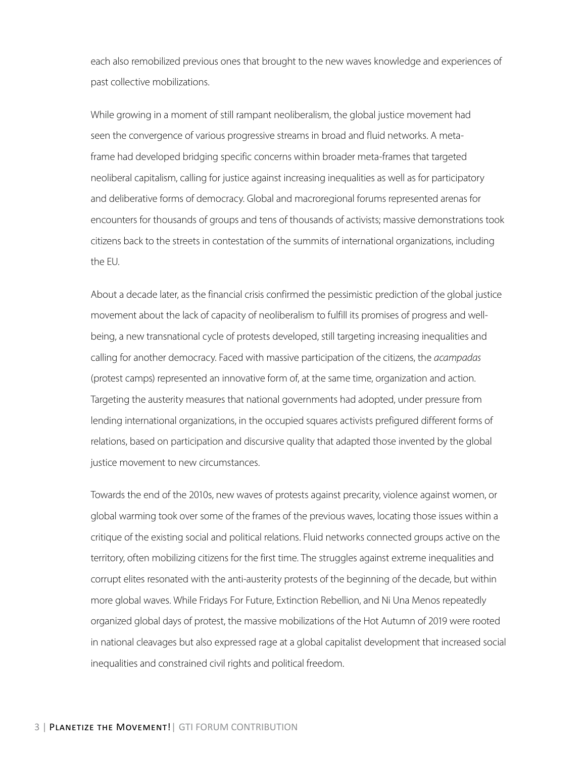each also remobilized previous ones that brought to the new waves knowledge and experiences of past collective mobilizations.

While growing in a moment of still rampant neoliberalism, the global justice movement had seen the convergence of various progressive streams in broad and fluid networks. A metaframe had developed bridging specific concerns within broader meta-frames that targeted neoliberal capitalism, calling for justice against increasing inequalities as well as for participatory and deliberative forms of democracy. Global and macroregional forums represented arenas for encounters for thousands of groups and tens of thousands of activists; massive demonstrations took citizens back to the streets in contestation of the summits of international organizations, including the EU.

About a decade later, as the financial crisis confirmed the pessimistic prediction of the global justice movement about the lack of capacity of neoliberalism to fulfill its promises of progress and wellbeing, a new transnational cycle of protests developed, still targeting increasing inequalities and calling for another democracy. Faced with massive participation of the citizens, the *acampadas*  (protest camps) represented an innovative form of, at the same time, organization and action. Targeting the austerity measures that national governments had adopted, under pressure from lending international organizations, in the occupied squares activists prefigured different forms of relations, based on participation and discursive quality that adapted those invented by the global justice movement to new circumstances.

Towards the end of the 2010s, new waves of protests against precarity, violence against women, or global warming took over some of the frames of the previous waves, locating those issues within a critique of the existing social and political relations. Fluid networks connected groups active on the territory, often mobilizing citizens for the first time. The struggles against extreme inequalities and corrupt elites resonated with the anti-austerity protests of the beginning of the decade, but within more global waves. While Fridays For Future, Extinction Rebellion, and Ni Una Menos repeatedly organized global days of protest, the massive mobilizations of the Hot Autumn of 2019 were rooted in national cleavages but also expressed rage at a global capitalist development that increased social inequalities and constrained civil rights and political freedom.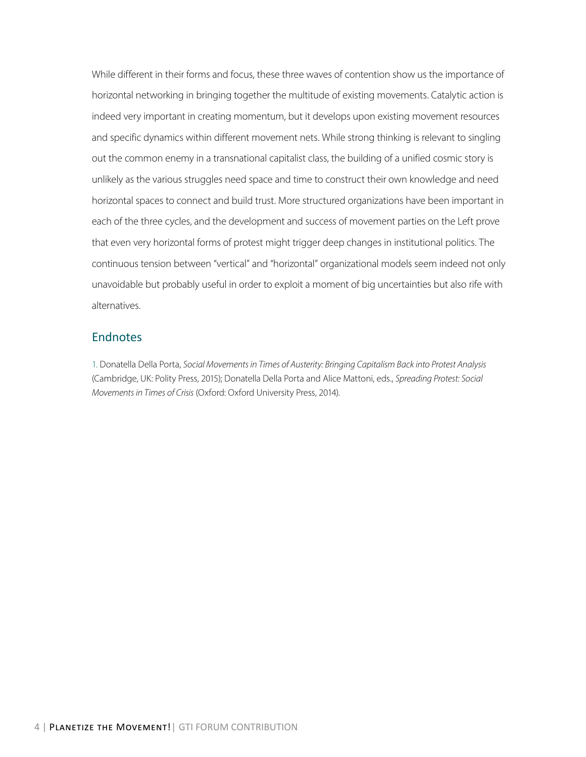While different in their forms and focus, these three waves of contention show us the importance of horizontal networking in bringing together the multitude of existing movements. Catalytic action is indeed very important in creating momentum, but it develops upon existing movement resources and specific dynamics within different movement nets. While strong thinking is relevant to singling out the common enemy in a transnational capitalist class, the building of a unified cosmic story is unlikely as the various struggles need space and time to construct their own knowledge and need horizontal spaces to connect and build trust. More structured organizations have been important in each of the three cycles, and the development and success of movement parties on the Left prove that even very horizontal forms of protest might trigger deep changes in institutional politics. The continuous tension between "vertical" and "horizontal" organizational models seem indeed not only unavoidable but probably useful in order to exploit a moment of big uncertainties but also rife with alternatives.

#### Endnotes

1. Donatella Della Porta, *Social Movements in Times of Austerity: Bringing Capitalism Back into Protest Analysis*  (Cambridge, UK: Polity Press, 2015); Donatella Della Porta and Alice Mattoni, eds., *Spreading Protest: Social Movements in Times of Crisis* (Oxford: Oxford University Press, 2014).